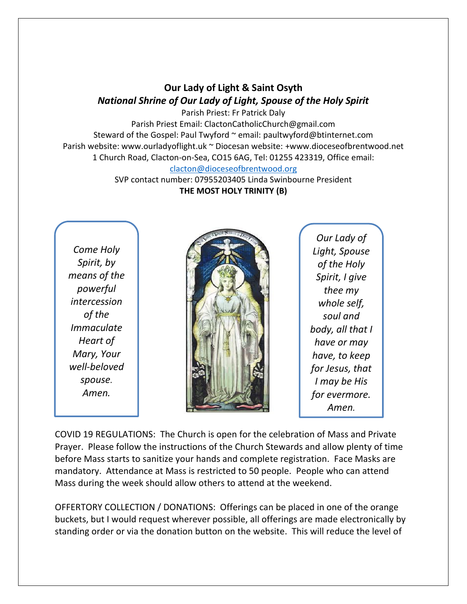## **Our Lady of Light & Saint Osyth** *National Shrine of Our Lady of Light, Spouse of the Holy Spirit*

Parish Priest: Fr Patrick Daly Parish Priest Email: ClactonCatholicChurch@gmail.com Steward of the Gospel: Paul Twyford ~ email: paultwyford@btinternet.com Parish website: www.ourladyoflight.uk ~ Diocesan website: +www.dioceseofbrentwood.net 1 Church Road, Clacton-on-Sea, CO15 6AG, Tel: 01255 423319, Office email: [clacton@dioceseofbrentwood.org](mailto:clacton@dioceseofbrentwood.org)

> SVP contact number: 07955203405 Linda Swinbourne President **THE MOST HOLY TRINITY (B)**

*Come Holy Spirit, by means of the powerful intercession of the Immaculate Heart of Mary, Your well-beloved spouse. Amen.*



*Our Lady of Light, Spouse of the Holy Spirit, I give thee my whole self, soul and body, all that I have or may have, to keep for Jesus, that I may be His for evermore. Amen.*

COVID 19 REGULATIONS: The Church is open for the celebration of Mass and Private Prayer. Please follow the instructions of the Church Stewards and allow plenty of time before Mass starts to sanitize your hands and complete registration. Face Masks are mandatory. Attendance at Mass is restricted to 50 people. People who can attend Mass during the week should allow others to attend at the weekend.

OFFERTORY COLLECTION / DONATIONS: Offerings can be placed in one of the orange buckets, but I would request wherever possible, all offerings are made electronically by standing order or via the donation button on the website. This will reduce the level of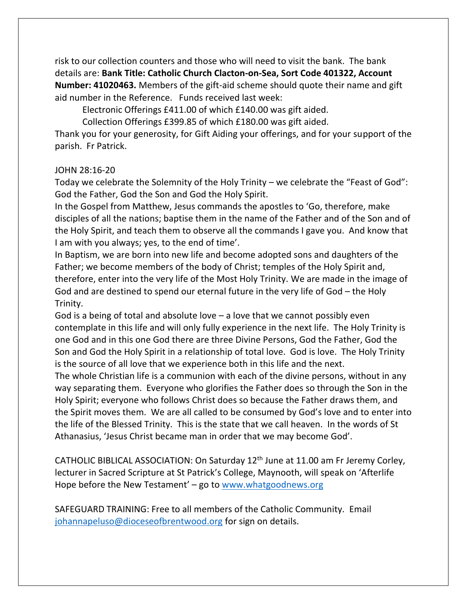risk to our collection counters and those who will need to visit the bank. The bank details are: **Bank Title: Catholic Church Clacton-on-Sea, Sort Code 401322, Account Number: 41020463.** Members of the gift-aid scheme should quote their name and gift aid number in the Reference. Funds received last week:

Electronic Offerings £411.00 of which £140.00 was gift aided.

Collection Offerings £399.85 of which £180.00 was gift aided.

Thank you for your generosity, for Gift Aiding your offerings, and for your support of the parish. Fr Patrick.

## JOHN 28:16-20

Today we celebrate the Solemnity of the Holy Trinity – we celebrate the "Feast of God": God the Father, God the Son and God the Holy Spirit.

In the Gospel from Matthew, Jesus commands the apostles to 'Go, therefore, make disciples of all the nations; baptise them in the name of the Father and of the Son and of the Holy Spirit, and teach them to observe all the commands I gave you. And know that I am with you always; yes, to the end of time'.

In Baptism, we are born into new life and become adopted sons and daughters of the Father; we become members of the body of Christ; temples of the Holy Spirit and, therefore, enter into the very life of the Most Holy Trinity. We are made in the image of God and are destined to spend our eternal future in the very life of God – the Holy Trinity.

God is a being of total and absolute love – a love that we cannot possibly even contemplate in this life and will only fully experience in the next life. The Holy Trinity is one God and in this one God there are three Divine Persons, God the Father, God the Son and God the Holy Spirit in a relationship of total love. God is love. The Holy Trinity is the source of all love that we experience both in this life and the next.

The whole Christian life is a communion with each of the divine persons, without in any way separating them. Everyone who glorifies the Father does so through the Son in the Holy Spirit; everyone who follows Christ does so because the Father draws them, and the Spirit moves them. We are all called to be consumed by God's love and to enter into the life of the Blessed Trinity. This is the state that we call heaven. In the words of St Athanasius, 'Jesus Christ became man in order that we may become God'.

CATHOLIC BIBLICAL ASSOCIATION: On Saturday 12th June at 11.00 am Fr Jeremy Corley, lecturer in Sacred Scripture at St Patrick's College, Maynooth, will speak on 'Afterlife Hope before the New Testament' – go to [www.whatgoodnews.org](http://www.whatgoodnews.org/)

SAFEGUARD TRAINING: Free to all members of the Catholic Community. Email [johannapeluso@dioceseofbrentwood.org](mailto:johannapeluso@dioceseofbrentwood.org) for sign on details.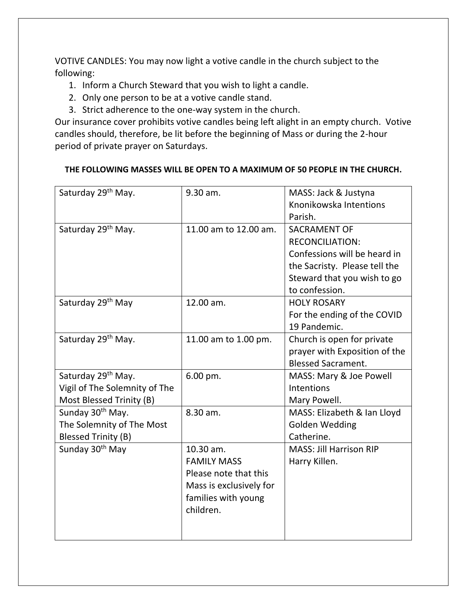VOTIVE CANDLES: You may now light a votive candle in the church subject to the following:

- 1. Inform a Church Steward that you wish to light a candle.
- 2. Only one person to be at a votive candle stand.
- 3. Strict adherence to the one-way system in the church.

Our insurance cover prohibits votive candles being left alight in an empty church. Votive candles should, therefore, be lit before the beginning of Mass or during the 2-hour period of private prayer on Saturdays.

## **THE FOLLOWING MASSES WILL BE OPEN TO A MAXIMUM OF 50 PEOPLE IN THE CHURCH.**

| Saturday 29 <sup>th</sup> May. | 9.30 am.                | MASS: Jack & Justyna           |
|--------------------------------|-------------------------|--------------------------------|
|                                |                         | Knonikowska Intentions         |
|                                |                         | Parish.                        |
| Saturday 29 <sup>th</sup> May. | 11.00 am to 12.00 am.   | <b>SACRAMENT OF</b>            |
|                                |                         | <b>RECONCILIATION:</b>         |
|                                |                         | Confessions will be heard in   |
|                                |                         | the Sacristy. Please tell the  |
|                                |                         | Steward that you wish to go    |
|                                |                         | to confession.                 |
| Saturday 29 <sup>th</sup> May  | 12.00 am.               | <b>HOLY ROSARY</b>             |
|                                |                         | For the ending of the COVID    |
|                                |                         | 19 Pandemic.                   |
| Saturday 29 <sup>th</sup> May. | 11.00 am to 1.00 pm.    | Church is open for private     |
|                                |                         | prayer with Exposition of the  |
|                                |                         | <b>Blessed Sacrament.</b>      |
| Saturday 29 <sup>th</sup> May. | 6.00 pm.                | MASS: Mary & Joe Powell        |
| Vigil of The Solemnity of The  |                         | Intentions                     |
| Most Blessed Trinity (B)       |                         | Mary Powell.                   |
| Sunday 30 <sup>th</sup> May.   | 8.30 am.                | MASS: Elizabeth & Ian Lloyd    |
| The Solemnity of The Most      |                         | <b>Golden Wedding</b>          |
| Blessed Trinity (B)            |                         | Catherine.                     |
| Sunday 30 <sup>th</sup> May    | 10.30 am.               | <b>MASS: Jill Harrison RIP</b> |
|                                | <b>FAMILY MASS</b>      | Harry Killen.                  |
|                                | Please note that this   |                                |
|                                | Mass is exclusively for |                                |
|                                | families with young     |                                |
|                                | children.               |                                |
|                                |                         |                                |
|                                |                         |                                |